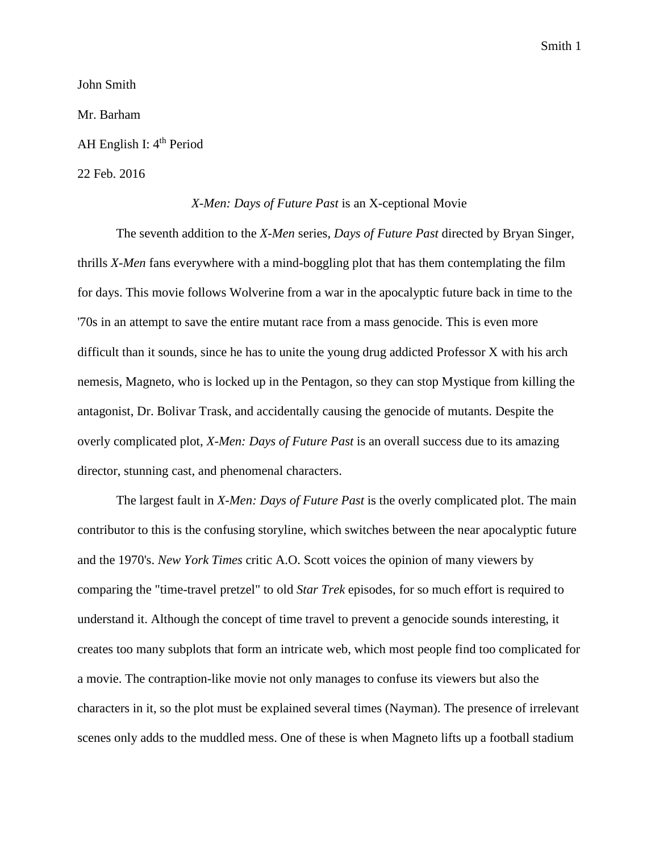Smith 1

John Smith

Mr. Barham

AH English I: 4<sup>th</sup> Period

## 22 Feb. 2016

## *X-Men: Days of Future Past* is an X-ceptional Movie

The seventh addition to the *X-Men* series, *Days of Future Past* directed by Bryan Singer, thrills *X-Men* fans everywhere with a mind-boggling plot that has them contemplating the film for days. This movie follows Wolverine from a war in the apocalyptic future back in time to the '70s in an attempt to save the entire mutant race from a mass genocide. This is even more difficult than it sounds, since he has to unite the young drug addicted Professor X with his arch nemesis, Magneto, who is locked up in the Pentagon, so they can stop Mystique from killing the antagonist, Dr. Bolivar Trask, and accidentally causing the genocide of mutants. Despite the overly complicated plot, *X-Men: Days of Future Past* is an overall success due to its amazing director, stunning cast, and phenomenal characters.

The largest fault in *X-Men: Days of Future Past* is the overly complicated plot. The main contributor to this is the confusing storyline, which switches between the near apocalyptic future and the 1970's. *New York Times* critic A.O. Scott voices the opinion of many viewers by comparing the "time-travel pretzel" to old *Star Trek* episodes, for so much effort is required to understand it. Although the concept of time travel to prevent a genocide sounds interesting, it creates too many subplots that form an intricate web, which most people find too complicated for a movie. The contraption-like movie not only manages to confuse its viewers but also the characters in it, so the plot must be explained several times (Nayman). The presence of irrelevant scenes only adds to the muddled mess. One of these is when Magneto lifts up a football stadium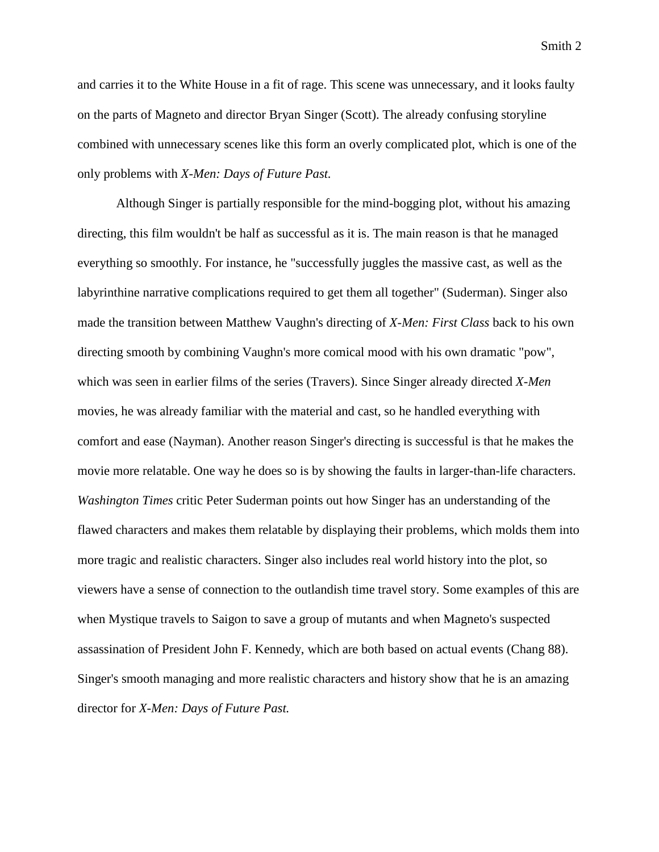and carries it to the White House in a fit of rage. This scene was unnecessary, and it looks faulty on the parts of Magneto and director Bryan Singer (Scott). The already confusing storyline combined with unnecessary scenes like this form an overly complicated plot, which is one of the only problems with *X-Men: Days of Future Past.*

Although Singer is partially responsible for the mind-bogging plot, without his amazing directing, this film wouldn't be half as successful as it is. The main reason is that he managed everything so smoothly. For instance, he "successfully juggles the massive cast, as well as the labyrinthine narrative complications required to get them all together" (Suderman). Singer also made the transition between Matthew Vaughn's directing of *X-Men: First Class* back to his own directing smooth by combining Vaughn's more comical mood with his own dramatic "pow", which was seen in earlier films of the series (Travers). Since Singer already directed *X-Men*  movies*,* he was already familiar with the material and cast, so he handled everything with comfort and ease (Nayman). Another reason Singer's directing is successful is that he makes the movie more relatable. One way he does so is by showing the faults in larger-than-life characters. *Washington Times* critic Peter Suderman points out how Singer has an understanding of the flawed characters and makes them relatable by displaying their problems, which molds them into more tragic and realistic characters. Singer also includes real world history into the plot, so viewers have a sense of connection to the outlandish time travel story. Some examples of this are when Mystique travels to Saigon to save a group of mutants and when Magneto's suspected assassination of President John F. Kennedy, which are both based on actual events (Chang 88). Singer's smooth managing and more realistic characters and history show that he is an amazing director for *X-Men: Days of Future Past.*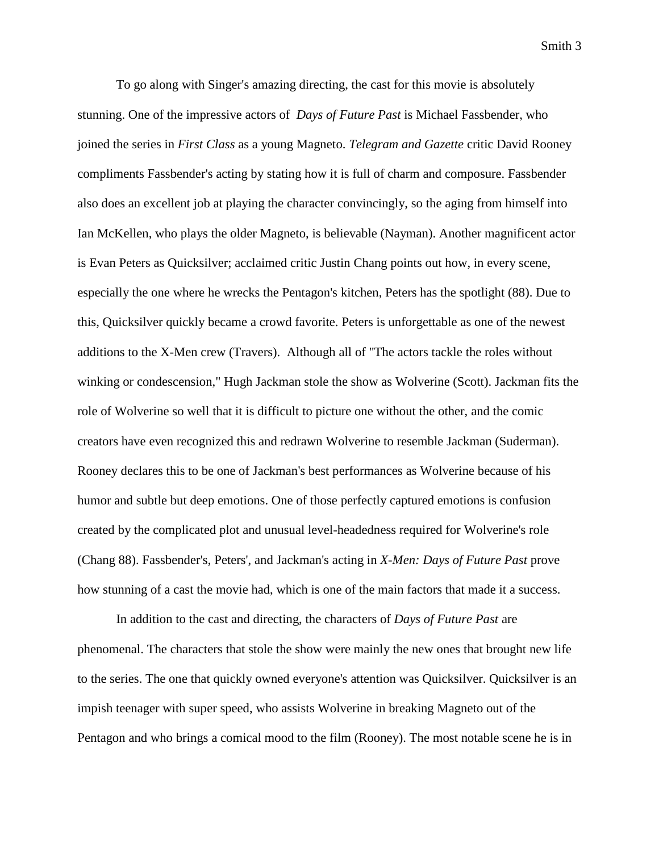Smith 3

To go along with Singer's amazing directing, the cast for this movie is absolutely stunning. One of the impressive actors of *Days of Future Past* is Michael Fassbender, who joined the series in *First Class* as a young Magneto. *Telegram and Gazette* critic David Rooney compliments Fassbender's acting by stating how it is full of charm and composure. Fassbender also does an excellent job at playing the character convincingly, so the aging from himself into Ian McKellen, who plays the older Magneto, is believable (Nayman). Another magnificent actor is Evan Peters as Quicksilver; acclaimed critic Justin Chang points out how, in every scene, especially the one where he wrecks the Pentagon's kitchen, Peters has the spotlight (88). Due to this, Quicksilver quickly became a crowd favorite. Peters is unforgettable as one of the newest additions to the X-Men crew (Travers). Although all of "The actors tackle the roles without winking or condescension," Hugh Jackman stole the show as Wolverine (Scott). Jackman fits the role of Wolverine so well that it is difficult to picture one without the other, and the comic creators have even recognized this and redrawn Wolverine to resemble Jackman (Suderman). Rooney declares this to be one of Jackman's best performances as Wolverine because of his humor and subtle but deep emotions. One of those perfectly captured emotions is confusion created by the complicated plot and unusual level-headedness required for Wolverine's role (Chang 88). Fassbender's, Peters', and Jackman's acting in *X-Men: Days of Future Past* prove how stunning of a cast the movie had, which is one of the main factors that made it a success.

In addition to the cast and directing, the characters of *Days of Future Past* are phenomenal. The characters that stole the show were mainly the new ones that brought new life to the series. The one that quickly owned everyone's attention was Quicksilver. Quicksilver is an impish teenager with super speed, who assists Wolverine in breaking Magneto out of the Pentagon and who brings a comical mood to the film (Rooney). The most notable scene he is in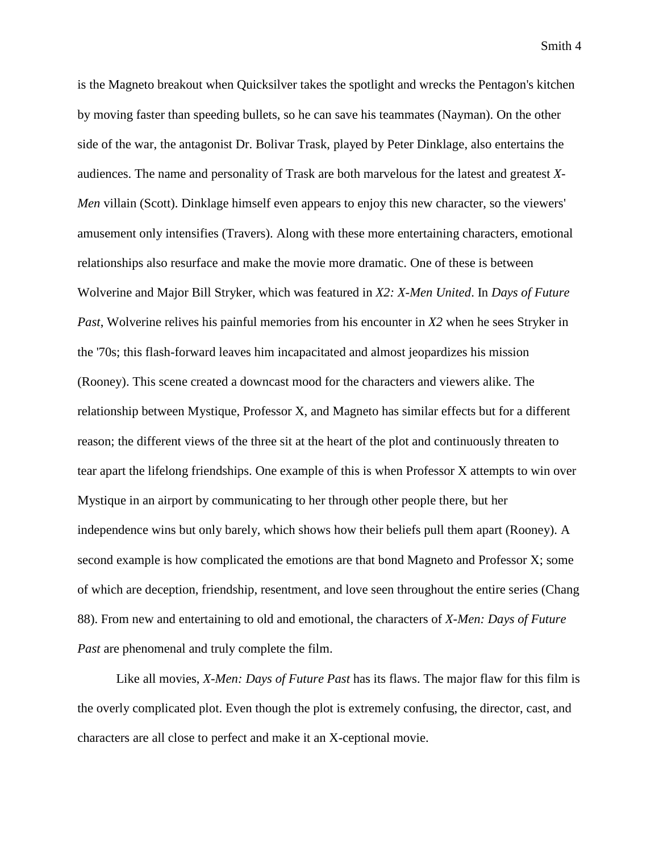is the Magneto breakout when Quicksilver takes the spotlight and wrecks the Pentagon's kitchen by moving faster than speeding bullets, so he can save his teammates (Nayman). On the other side of the war, the antagonist Dr. Bolivar Trask, played by Peter Dinklage, also entertains the audiences. The name and personality of Trask are both marvelous for the latest and greatest *X-Men* villain (Scott). Dinklage himself even appears to enjoy this new character, so the viewers' amusement only intensifies (Travers). Along with these more entertaining characters, emotional relationships also resurface and make the movie more dramatic. One of these is between Wolverine and Major Bill Stryker, which was featured in *X2: X-Men United*. In *Days of Future Past*, Wolverine relives his painful memories from his encounter in *X2* when he sees Stryker in the '70s; this flash-forward leaves him incapacitated and almost jeopardizes his mission (Rooney). This scene created a downcast mood for the characters and viewers alike. The relationship between Mystique, Professor X, and Magneto has similar effects but for a different reason; the different views of the three sit at the heart of the plot and continuously threaten to tear apart the lifelong friendships. One example of this is when Professor X attempts to win over Mystique in an airport by communicating to her through other people there, but her independence wins but only barely, which shows how their beliefs pull them apart (Rooney). A second example is how complicated the emotions are that bond Magneto and Professor X; some of which are deception, friendship, resentment, and love seen throughout the entire series (Chang 88). From new and entertaining to old and emotional, the characters of *X-Men: Days of Future Past* are phenomenal and truly complete the film.

Like all movies, *X-Men: Days of Future Past* has its flaws. The major flaw for this film is the overly complicated plot. Even though the plot is extremely confusing, the director, cast, and characters are all close to perfect and make it an X-ceptional movie.